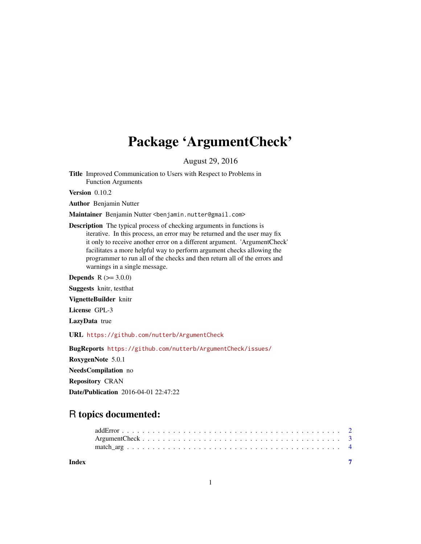## Package 'ArgumentCheck'

August 29, 2016

<span id="page-0-0"></span>Title Improved Communication to Users with Respect to Problems in Function Arguments

Version 0.10.2

Author Benjamin Nutter

Maintainer Benjamin Nutter <benjamin.nutter@gmail.com>

Description The typical process of checking arguments in functions is iterative. In this process, an error may be returned and the user may fix it only to receive another error on a different argument. 'ArgumentCheck' facilitates a more helpful way to perform argument checks allowing the programmer to run all of the checks and then return all of the errors and warnings in a single message.

**Depends**  $R (= 3.0.0)$ 

Suggests knitr, testthat

VignetteBuilder knitr

License GPL-3

LazyData true

URL <https://github.com/nutterb/ArgumentCheck>

BugReports <https://github.com/nutterb/ArgumentCheck/issues/>

RoxygenNote 5.0.1 NeedsCompilation no Repository CRAN

Date/Publication 2016-04-01 22:47:22

### R topics documented:

| Index |  |  |  |  |  |  |  |  |  |  |  |  |  |  |  |  |  |  |
|-------|--|--|--|--|--|--|--|--|--|--|--|--|--|--|--|--|--|--|
|       |  |  |  |  |  |  |  |  |  |  |  |  |  |  |  |  |  |  |
|       |  |  |  |  |  |  |  |  |  |  |  |  |  |  |  |  |  |  |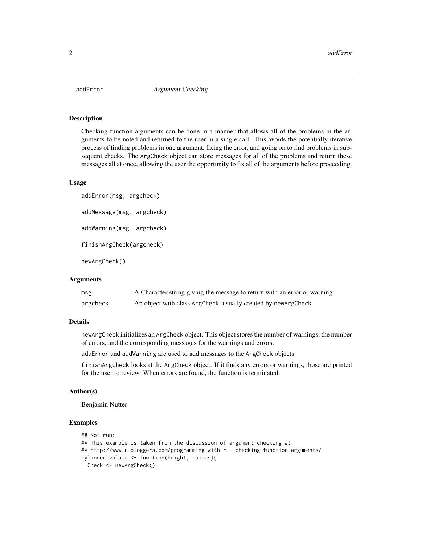<span id="page-1-0"></span>

#### <span id="page-1-1"></span>Description

Checking function arguments can be done in a manner that allows all of the problems in the arguments to be noted and returned to the user in a single call. This avoids the potentially iterative process of finding problems in one argument, fixing the error, and going on to find problems in subsequent checks. The ArgCheck object can store messages for all of the problems and return these messages all at once, allowing the user the opportunity to fix all of the arguments before proceeding.

#### Usage

```
addError(msg, argcheck)
addMessage(msg, argcheck)
addWarning(msg, argcheck)
finishArgCheck(argcheck)
newArgCheck()
```
#### Arguments

| msg      | A Character string giving the message to return with an error or warning |
|----------|--------------------------------------------------------------------------|
| argcheck | An object with class ArgCheck, usually created by new ArgCheck           |

#### Details

newArgCheck initializes an ArgCheck object. This object stores the number of warnings, the number of errors, and the corresponding messages for the warnings and errors.

addError and addWarning are used to add messages to the ArgCheck objects.

finishArgCheck looks at the ArgCheck object. If it finds any errors or warnings, those are printed for the user to review. When errors are found, the function is terminated.

#### Author(s)

Benjamin Nutter

#### Examples

```
## Not run:
#* This example is taken from the discussion of argument checking at
#* http://www.r-bloggers.com/programming-with-r---checking-function-arguments/
cylinder.volume <- function(height, radius){
  Check <- newArgCheck()
```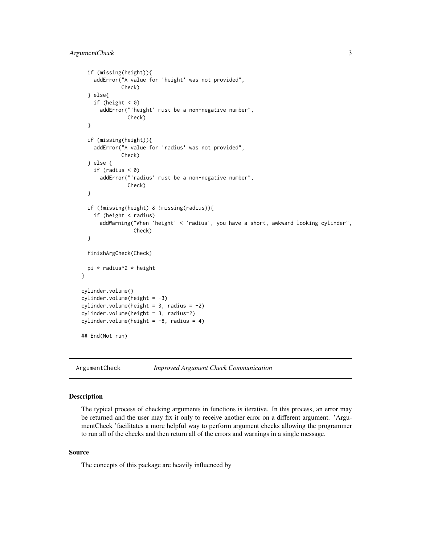```
if (missing(height)){
    addError("A value for 'height' was not provided",
             Check)
 } else{
    if (height < 0)
     addError("'height' must be a non-negative number",
               Check)
 }
 if (missing(height)){
    addError("A value for 'radius' was not provided",
             Check)
 } else {
    if (radius < 0)
      addError("'radius' must be a non-negative number",
               Check)
 }
 if (!missing(height) & !missing(radius)){
    if (height < radius)
     addWarning("When 'height' < 'radius', you have a short, awkward looking cylinder",
                 Check)
 }
 finishArgCheck(Check)
 pi * radius^2 * height
}
cylinder.volume()
cylinder.volume(height = -3)
cylinder.volume(height = 3, radius = -2)
cylinder.volume(height = 3, radius=2)
cylinder.volume(height = -8, radius = 4)
## End(Not run)
```
ArgumentCheck *Improved Argument Check Communication*

#### Description

The typical process of checking arguments in functions is iterative. In this process, an error may be returned and the user may fix it only to receive another error on a different argument. 'ArgumentCheck 'facilitates a more helpful way to perform argument checks allowing the programmer to run all of the checks and then return all of the errors and warnings in a single message.

#### Source

The concepts of this package are heavily influenced by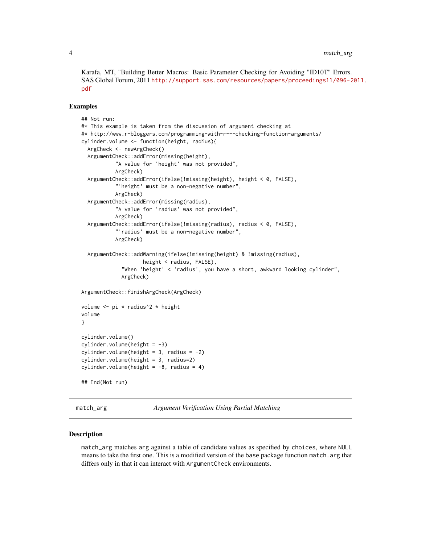<span id="page-3-0"></span>Karafa, MT, "Building Better Macros: Basic Parameter Checking for Avoiding "ID10T" Errors. SAS Global Forum, 2011 [http://support.sas.com/resources/papers/proceedings11/096-2](http://support.sas.com/resources/papers/proceedings11/096-2011.pdf)011. [pdf](http://support.sas.com/resources/papers/proceedings11/096-2011.pdf)

#### Examples

```
## Not run:
#* This example is taken from the discussion of argument checking at
#* http://www.r-bloggers.com/programming-with-r---checking-function-arguments/
cylinder.volume <- function(height, radius){
 ArgCheck <- newArgCheck()
 ArgumentCheck::addError(missing(height),
           "A value for 'height' was not provided",
           ArgCheck)
 ArgumentCheck::addError(ifelse(!missing(height), height < 0, FALSE),
           "'height' must be a non-negative number",
           ArgCheck)
 ArgumentCheck::addError(missing(radius),
           "A value for 'radius' was not provided",
           ArgCheck)
 ArgumentCheck::addError(ifelse(!missing(radius), radius < 0, FALSE),
           "'radius' must be a non-negative number",
           ArgCheck)
 ArgumentCheck::addWarning(ifelse(!missing(height) & !missing(radius),
                    height < radius, FALSE),
             "When 'height' < 'radius', you have a short, awkward looking cylinder",
             ArgCheck)
ArgumentCheck::finishArgCheck(ArgCheck)
volume \leq pi * radius<sup>2</sup> * height
volume
}
cylinder.volume()
cylinder.volume(height = -3)cylinder.volume(height = 3, radius = -2)
cylinder.volume(height = 3, radius=2)
cylinder.volume(height = -8, radius = 4)
## End(Not run)
```
match\_arg *Argument Verification Using Partial Matching*

#### Description

match\_arg matches arg against a table of candidate values as specified by choices, where NULL means to take the first one. This is a modified version of the base package function match, arg that differs only in that it can interact with ArgumentCheck environments.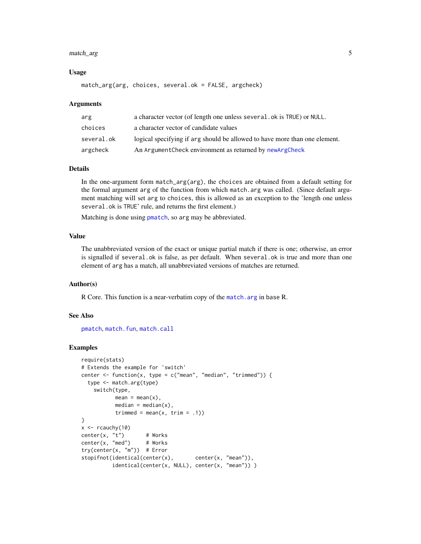#### <span id="page-4-0"></span>match\_arg 5

#### Usage

match\_arg(arg, choices, several.ok = FALSE, argcheck)

#### Arguments

| arg        | a character vector (of length one unless several. ok is TRUE) or NULL.     |
|------------|----------------------------------------------------------------------------|
| choices    | a character vector of candidate values                                     |
| several.ok | logical specifying if arg should be allowed to have more than one element. |
| argcheck   | An Argument Check environment as returned by new Arg Check                 |

#### Details

In the one-argument form match\_arg(arg), the choices are obtained from a default setting for the formal argument arg of the function from which match.arg was called. (Since default argument matching will set arg to choices, this is allowed as an exception to the 'length one unless several.ok is TRUE' rule, and returns the first element.)

Matching is done using [pmatch](#page-0-0), so arg may be abbreviated.

#### Value

The unabbreviated version of the exact or unique partial match if there is one; otherwise, an error is signalled if several.ok is false, as per default. When several.ok is true and more than one element of arg has a match, all unabbreviated versions of matches are returned.

#### Author(s)

R Core. This function is a near-verbatim copy of the match. arg in base R.

#### See Also

[pmatch](#page-0-0), [match.fun](#page-0-0), [match.call](#page-0-0)

#### Examples

```
require(stats)
# Extends the example for 'switch'
center \leq function(x, type = c("mean", "median", "trimmed")) {
  type <- match.arg(type)
    switch(type,
          mean = mean(x),
           median = median(x),
           trimmed = mean(x, \text{ trim} = .1)}
x \leftarrow rcauchy(10)
center(x, "t") # Works
center(x, "med") # Works
try(center(x, "m")) # Error
stopifnot(identical(center(x), center(x, "mean")),
          identical(center(x, NULL), center(x, "mean")) )
```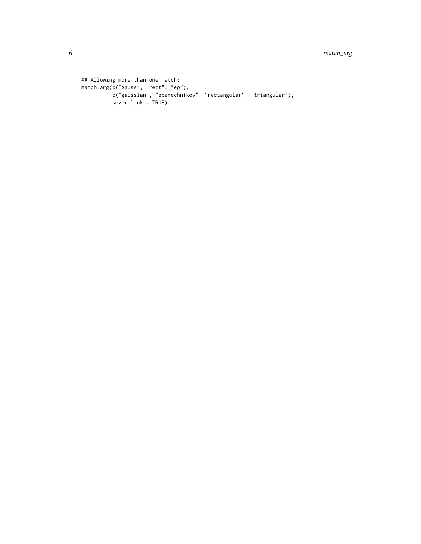```
## Allowing more than one match:
match.arg(c("gauss", "rect", "ep"),
          c("gaussian", "epanechnikov", "rectangular", "triangular"),
         several.ok = TRUE)
```